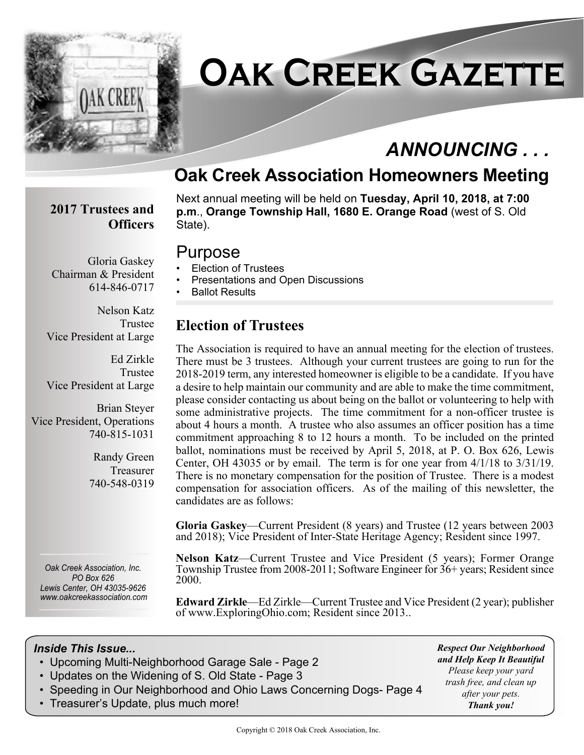

# **Oak Creek Gazette**

# *ANNOUNCING . . .*

# **Oak Creek Association Homeowners Meeting**

#### **2017 Trustees and Officers**

Chairman & President

Gloria Gaskey

614-846-0717

Next annual meeting will be held on **Tuesday, April 10, 2018, at 7:00 p.m**., **Orange Township Hall, 1680 E. Orange Road** (west of S. Old State).

### Purpose

- Election of Trustees
- Presentations and Open Discussions
- Ballot Results

Nelson Katz Trustee Vice President at Large

Ed Zirkle Trustee Vice President at Large

Brian Steyer Vice President, Operations 740-815-1031

> Randy Green Treasurer 740-548-0319

*Oak Creek Association, Inc. PO Box 626 Lewis Center, OH 43035-9626 www.oakcreekassociation.com* **Election of Trustees**

The Association is required to have an annual meeting for the election of trustees. There must be 3 trustees. Although your current trustees are going to run for the 2018-2019 term, any interested homeowner is eligible to be a candidate. If you have a desire to help maintain our community and are able to make the time commitment, please consider contacting us about being on the ballot or volunteering to help with some administrative projects. The time commitment for a non-officer trustee is about 4 hours a month. A trustee who also assumes an officer position has a time commitment approaching 8 to 12 hours a month. To be included on the printed ballot, nominations must be received by April 5, 2018, at P. O. Box 626, Lewis Center, OH 43035 or by email. The term is for one year from 4/1/18 to 3/31/19. There is no monetary compensation for the position of Trustee. There is a modest compensation for association officers. As of the mailing of this newsletter, the candidates are as follows:

**Gloria Gaskey**—Current President (8 years) and Trustee (12 years between 2003 and 2018); Vice President of Inter-State Heritage Agency; Resident since 1997.

**Nelson Katz**—Current Trustee and Vice President (5 years); Former Orange Township Trustee from 2008-2011; Software Engineer for 36+ years; Resident since 2000.

**Edward Zirkle**—Ed Zirkle—Current Trustee and Vice President (2 year); publisher of www.ExploringOhio.com; Resident since 2013..

#### *Inside This Issue...*

- Upcoming Multi-Neighborhood Garage Sale Page 2
- Updates on the Widening of S. Old State Page 3
- Speeding in Our Neighborhood and Ohio Laws Concerning Dogs- Page 4
- Treasurer's Update, plus much more!

*Respect Our Neighborhood and Help Keep It Beautiful Please keep your yard trash free, and clean up after your pets. Thank you!*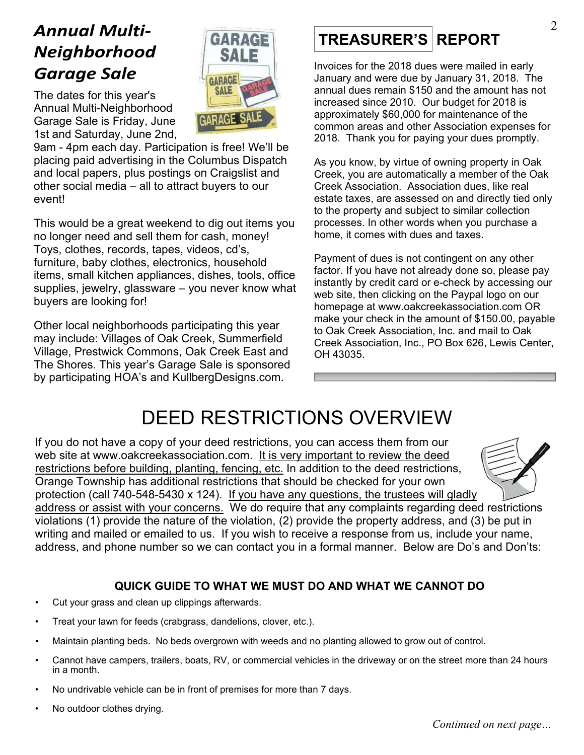# *Annual Multi-Neighborhood Garage Sale*

SALE **GARAGE SALE** The dates for this year's Annual Multi-Neighborhood **GARAGE** Garage Sale is Friday, June 1st and Saturday, June 2nd,

GARAGE

9am - 4pm each day. Participation is free! We'll be placing paid advertising in the Columbus Dispatch and local papers, plus postings on Craigslist and other social media – all to attract buyers to our event!

This would be a great weekend to dig out items you no longer need and sell them for cash, money! Toys, clothes, records, tapes, videos, cd's, furniture, baby clothes, electronics, household items, small kitchen appliances, dishes, tools, office supplies, jewelry, glassware – you never know what buyers are looking for!

Other local neighborhoods participating this year may include: Villages of Oak Creek, Summerfield Village, Prestwick Commons, Oak Creek East and The Shores. This year's Garage Sale is sponsored by participating HOA's and KullbergDesigns.com.

# **TREASURER'S REPORT**

Invoices for the 2018 dues were mailed in early January and were due by January 31, 2018. The annual dues remain \$150 and the amount has not increased since 2010. Our budget for 2018 is approximately \$60,000 for maintenance of the common areas and other Association expenses for 2018. Thank you for paying your dues promptly.

As you know, by virtue of owning property in Oak Creek, you are automatically a member of the Oak Creek Association. Association dues, like real estate taxes, are assessed on and directly tied only to the property and subject to similar collection processes. In other words when you purchase a home, it comes with dues and taxes.

Payment of dues is not contingent on any other factor. If you have not already done so, please pay instantly by credit card or e-check by accessing our web site, then clicking on the Paypal logo on our homepage at www.oakcreekassociation.com OR make your check in the amount of \$150.00, payable to Oak Creek Association, Inc. and mail to Oak Creek Association, Inc., PO Box 626, Lewis Center, OH 43035.

# DEED RESTRICTIONS OVERVIEW

If you do not have a copy of your deed restrictions, you can access them from our web site at www.oakcreekassociation.com. It is very important to review the deed restrictions before building, planting, fencing, etc. In addition to the deed restrictions, Orange Township has additional restrictions that should be checked for your own protection (call 740-548-5430 x 124). If you have any questions, the trustees will gladly



address or assist with your concerns. We do require that any complaints regarding deed restrictions violations (1) provide the nature of the violation, (2) provide the property address, and (3) be put in writing and mailed or emailed to us. If you wish to receive a response from us, include your name, address, and phone number so we can contact you in a formal manner. Below are Do's and Don'ts:

#### **QUICK GUIDE TO WHAT WE MUST DO AND WHAT WE CANNOT DO**

- Cut your grass and clean up clippings afterwards.
- Treat your lawn for feeds (crabgrass, dandelions, clover, etc.).
- Maintain planting beds. No beds overgrown with weeds and no planting allowed to grow out of control.
- Cannot have campers, trailers, boats, RV, or commercial vehicles in the driveway or on the street more than 24 hours in a month.
- No undrivable vehicle can be in front of premises for more than 7 days.
- No outdoor clothes drying.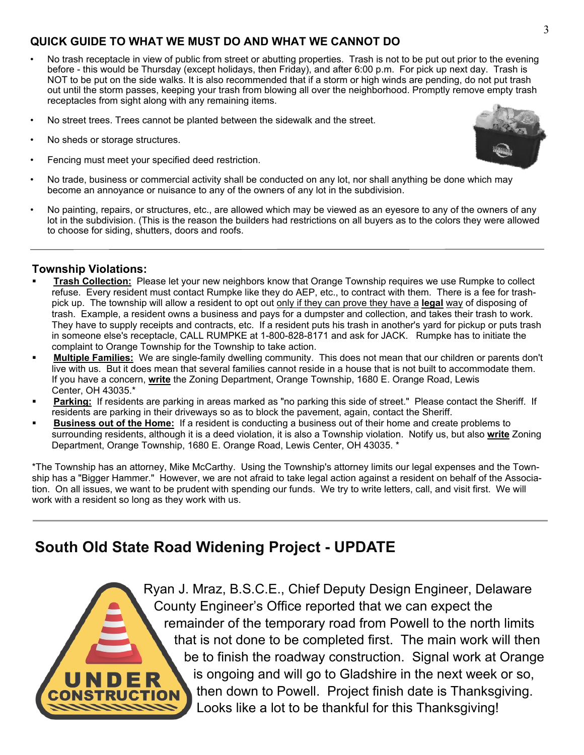#### **QUICK GUIDE TO WHAT WE MUST DO AND WHAT WE CANNOT DO**

- No trash receptacle in view of public from street or abutting properties. Trash is not to be put out prior to the evening before - this would be Thursday (except holidays, then Friday), and after 6:00 p.m. For pick up next day. Trash is NOT to be put on the side walks. It is also recommended that if a storm or high winds are pending, do not put trash out until the storm passes, keeping your trash from blowing all over the neighborhood. Promptly remove empty trash receptacles from sight along with any remaining items.
- No street trees. Trees cannot be planted between the sidewalk and the street.
- No sheds or storage structures.
- Fencing must meet your specified deed restriction.



• No painting, repairs, or structures, etc., are allowed which may be viewed as an eyesore to any of the owners of any lot in the subdivision. (This is the reason the builders had restrictions on all buyers as to the colors they were allowed to choose for siding, shutters, doors and roofs.

#### **Township Violations:**

- ß **Trash Collection:** Please let your new neighbors know that Orange Township requires we use Rumpke to collect refuse. Every resident must contact Rumpke like they do AEP, etc., to contract with them. There is a fee for trashpick up. The township will allow a resident to opt out only if they can prove they have a **legal** way of disposing of trash. Example, a resident owns a business and pays for a dumpster and collection, and takes their trash to work. They have to supply receipts and contracts, etc. If a resident puts his trash in another's yard for pickup or puts trash in someone else's receptacle, CALL RUMPKE at 1-800-828-8171 and ask for JACK. Rumpke has to initiate the complaint to Orange Township for the Township to take action.
- ß **Multiple Families:** We are single-family dwelling community. This does not mean that our children or parents don't live with us. But it does mean that several families cannot reside in a house that is not built to accommodate them. If you have a concern, **write** the Zoning Department, Orange Township, 1680 E. Orange Road, Lewis Center, OH 43035.\*
- **Parking:** If residents are parking in areas marked as "no parking this side of street." Please contact the Sheriff. If residents are parking in their driveways so as to block the pavement, again, contact the Sheriff.
- ß **Business out of the Home:** If a resident is conducting a business out of their home and create problems to surrounding residents, although it is a deed violation, it is also a Township violation. Notify us, but also **write** Zoning Department, Orange Township, 1680 E. Orange Road, Lewis Center, OH 43035. \*

\*The Township has an attorney, Mike McCarthy. Using the Township's attorney limits our legal expenses and the Township has a "Bigger Hammer." However, we are not afraid to take legal action against a resident on behalf of the Association. On all issues, we want to be prudent with spending our funds. We try to write letters, call, and visit first. We will work with a resident so long as they work with us.

### **South Old State Road Widening Project - UPDATE**

Ryan J. Mraz, B.S.C.E., Chief Deputy Design Engineer, Delaware County Engineer's Office reported that we can expect the remainder of the temporary road from Powell to the north limits that is not done to be completed first. The main work will then be to finish the roadway construction. Signal work at Orange is ongoing and will go to Gladshire in the next week or so, then down to Powell. Project finish date is Thanksgiving. Looks like a lot to be thankful for this Thanksgiving!

3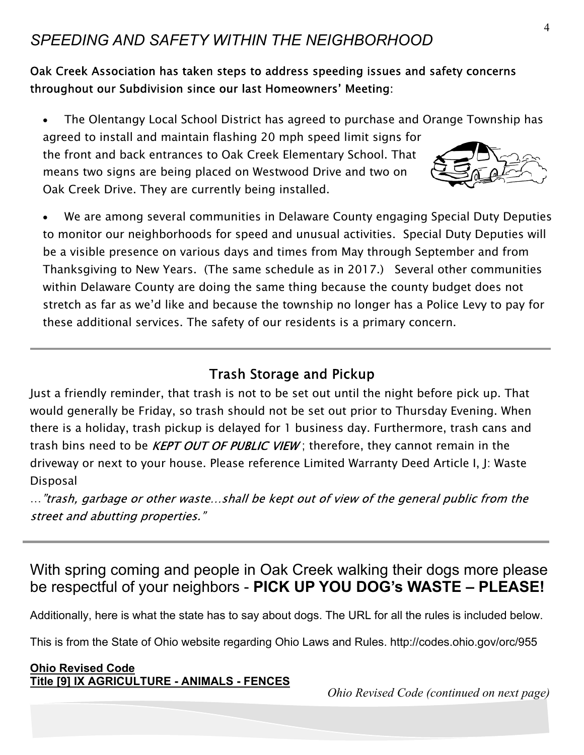## *SPEEDING AND SAFETY WITHIN THE NEIGHBORHOOD*

Oak Creek Association has taken steps to address speeding issues and safety concerns throughout our Subdivision since our last Homeowners' Meeting:

The Olentangy Local School District has agreed to purchase and Orange Township has agreed to install and maintain flashing 20 mph speed limit signs for the front and back entrances to Oak Creek Elementary School. That means two signs are being placed on Westwood Drive and two on Oak Creek Drive. They are currently being installed.

We are among several communities in Delaware County engaging Special Duty Deputies to monitor our neighborhoods for speed and unusual activities. Special Duty Deputies will be a visible presence on various days and times from May through September and from Thanksgiving to New Years. (The same schedule as in 2017.) Several other communities within Delaware County are doing the same thing because the county budget does not stretch as far as we'd like and because the township no longer has a Police Levy to pay for these additional services. The safety of our residents is a primary concern.

### **Trash Storage and Pickup**

Just a friendly reminder, that trash is not to be set out until the night before pick up. That would generally be Friday, so trash should not be set out prior to Thursday Evening. When there is a holiday, trash pickup is delayed for 1 business day. Furthermore, trash cans and trash bins need to be *KEPT OUT OF PUBLIC VIEW*; therefore, they cannot remain in the driveway or next to your house. Please reference Limited Warranty Deed Article I, J: Waste Disposal

..."trash, garbage or other waste...shall be kept out of view of the general public from the street and abutting properties."

# With spring coming and people in Oak Creek walking their dogs more please be respectful of your neighbors - **PICK UP YOU DOG's WASTE – PLEASE!**

Additionally, here is what the state has to say about dogs. The URL for all the rules is included below.

This is from the State of Ohio website regarding Ohio Laws and Rules. http://codes.ohio.gov/orc/955

#### **Ohio Revised Code Title [9] IX AGRICULTURE - ANIMALS - FENCES**

*Ohio Revised Code (continued on next page)*

4

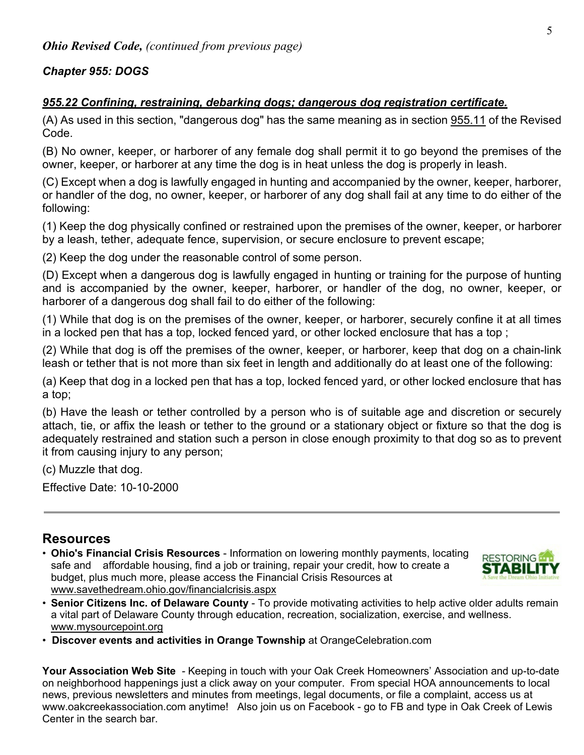#### *Chapter 955: DOGS*

#### *955.22 Confining, restraining, debarking dogs; dangerous dog registration certificate.*

(A) As used in this section, "dangerous dog" has the same meaning as in section 955.11 of the Revised Code.

(B) No owner, keeper, or harborer of any female dog shall permit it to go beyond the premises of the owner, keeper, or harborer at any time the dog is in heat unless the dog is properly in leash.

(C) Except when a dog is lawfully engaged in hunting and accompanied by the owner, keeper, harborer, or handler of the dog, no owner, keeper, or harborer of any dog shall fail at any time to do either of the following:

(1) Keep the dog physically confined or restrained upon the premises of the owner, keeper, or harborer by a leash, tether, adequate fence, supervision, or secure enclosure to prevent escape;

(2) Keep the dog under the reasonable control of some person.

(D) Except when a dangerous dog is lawfully engaged in hunting or training for the purpose of hunting and is accompanied by the owner, keeper, harborer, or handler of the dog, no owner, keeper, or harborer of a dangerous dog shall fail to do either of the following:

(1) While that dog is on the premises of the owner, keeper, or harborer, securely confine it at all times in a locked pen that has a top, locked fenced yard, or other locked enclosure that has a top ;

(2) While that dog is off the premises of the owner, keeper, or harborer, keep that dog on a chain-link leash or tether that is not more than six feet in length and additionally do at least one of the following:

(a) Keep that dog in a locked pen that has a top, locked fenced yard, or other locked enclosure that has a top;

(b) Have the leash or tether controlled by a person who is of suitable age and discretion or securely attach, tie, or affix the leash or tether to the ground or a stationary object or fixture so that the dog is adequately restrained and station such a person in close enough proximity to that dog so as to prevent it from causing injury to any person;

(c) Muzzle that dog.

Effective Date: 10-10-2000

#### **Resources**

• **Ohio's Financial Crisis Resources** - Information on lowering monthly payments, locating safe and affordable housing, find a job or training, repair your credit, how to create a budget, plus much more, please access the Financial Crisis Resources at www.savethedream.ohio.gov/financialcrisis.aspx



- **Senior Citizens Inc. of Delaware County** To provide motivating activities to help active older adults remain a vital part of Delaware County through education, recreation, socialization, exercise, and wellness. www.mysourcepoint.org
- **Discover events and activities in Orange Township** at OrangeCelebration.com

**Your Association Web Site** *-* Keeping in touch with your Oak Creek Homeowners' Association and up-to-date on neighborhood happenings just a click away on your computer. From special HOA announcements to local news, previous newsletters and minutes from meetings, legal documents, or file a complaint, access us at www.oakcreekassociation.com anytime! Also join us on Facebook - go to FB and type in Oak Creek of Lewis Center in the search bar.